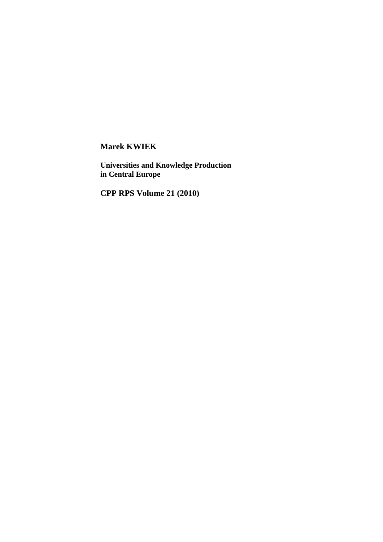**Marek KWIEK**

**Universities and Knowledge Production in Central Europe**

**CPP RPS Volume 21 (2010)**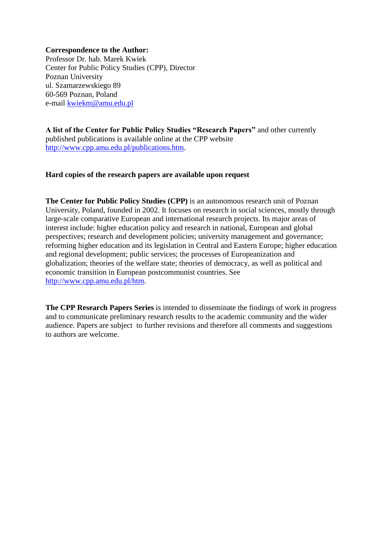## **Correspondence to the Author:**

Professor Dr. hab. Marek Kwiek Center for Public Policy Studies (CPP), Director Poznan University ul. Szamarzewskiego 89 60-569 Poznan, Poland e-mail [kwiekm@amu.edu.pl](mailto:kwiekm@amu.edu.pl)

**A list of the Center for Public Policy Studies "Research Papers"** and other currently published publications is available online at the CPP website [http://www.cpp.amu.edu.pl/publications.htm.](http://www.cpp.amu.edu.pl/publications.htm)

## **Hard copies of the research papers are available upon request**

**The Center for Public Policy Studies (CPP)** is an autonomous research unit of Poznan University, Poland, founded in 2002. It focuses on research in social sciences, mostly through large-scale comparative European and international research projects. Its major areas of interest include: higher education policy and research in national, European and global perspectives; research and development policies; university management and governance; reforming higher education and its legislation in Central and Eastern Europe; higher education and regional development; public services; the processes of Europeanization and globalization; theories of the welfare state; theories of democracy, as well as political and economic transition in European postcommunist countries. See [http://www.cpp.amu.edu.pl/htm.](http://www.cpp.amu.edu.pl/htm)

**The CPP Research Papers Series** is intended to disseminate the findings of work in progress and to communicate preliminary research results to the academic community and the wider audience. Papers are subject to further revisions and therefore all comments and suggestions to authors are welcome.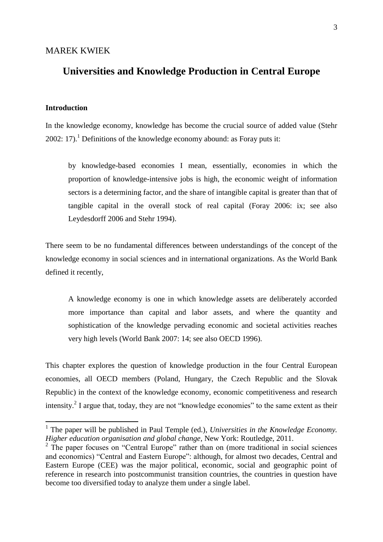# **Universities and Knowledge Production in Central Europe**

## **Introduction**

<u>.</u>

In the knowledge economy, knowledge has become the crucial source of added value (Stehr 2002: 17).<sup>1</sup> Definitions of the knowledge economy abound: as Foray puts it:

by knowledge-based economies I mean, essentially, economies in which the proportion of knowledge-intensive jobs is high, the economic weight of information sectors is a determining factor, and the share of intangible capital is greater than that of tangible capital in the overall stock of real capital (Foray 2006: ix; see also Leydesdorff 2006 and Stehr 1994).

There seem to be no fundamental differences between understandings of the concept of the knowledge economy in social sciences and in international organizations. As the World Bank defined it recently,

A knowledge economy is one in which knowledge assets are deliberately accorded more importance than capital and labor assets, and where the quantity and sophistication of the knowledge pervading economic and societal activities reaches very high levels (World Bank 2007: 14; see also OECD 1996).

This chapter explores the question of knowledge production in the four Central European economies, all OECD members (Poland, Hungary, the Czech Republic and the Slovak Republic) in the context of the knowledge economy, economic competitiveness and research intensity.<sup>2</sup> I argue that, today, they are not "knowledge economies" to the same extent as their

<sup>&</sup>lt;sup>1</sup> The paper will be published in Paul Temple (ed.), *Universities in the Knowledge Economy*. *Higher education organisation and global change*, New York: Routledge, 2011.

 $2$  The paper focuses on "Central Europe" rather than on (more traditional in social sciences and economics) "Central and Eastern Europe": although, for almost two decades, Central and Eastern Europe (CEE) was the major political, economic, social and geographic point of reference in research into postcommunist transition countries, the countries in question have become too diversified today to analyze them under a single label.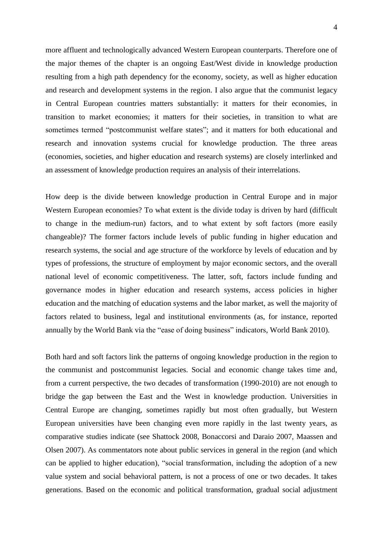more affluent and technologically advanced Western European counterparts. Therefore one of the major themes of the chapter is an ongoing East/West divide in knowledge production resulting from a high path dependency for the economy, society, as well as higher education and research and development systems in the region. I also argue that the communist legacy in Central European countries matters substantially: it matters for their economies, in transition to market economies; it matters for their societies, in transition to what are sometimes termed "postcommunist welfare states"; and it matters for both educational and research and innovation systems crucial for knowledge production. The three areas (economies, societies, and higher education and research systems) are closely interlinked and an assessment of knowledge production requires an analysis of their interrelations.

How deep is the divide between knowledge production in Central Europe and in major Western European economies? To what extent is the divide today is driven by hard (difficult to change in the medium-run) factors, and to what extent by soft factors (more easily changeable)? The former factors include levels of public funding in higher education and research systems, the social and age structure of the workforce by levels of education and by types of professions, the structure of employment by major economic sectors, and the overall national level of economic competitiveness. The latter, soft, factors include funding and governance modes in higher education and research systems, access policies in higher education and the matching of education systems and the labor market, as well the majority of factors related to business, legal and institutional environments (as, for instance, reported annually by the World Bank via the "ease of doing business" indicators, World Bank 2010).

Both hard and soft factors link the patterns of ongoing knowledge production in the region to the communist and postcommunist legacies. Social and economic change takes time and, from a current perspective, the two decades of transformation (1990-2010) are not enough to bridge the gap between the East and the West in knowledge production. Universities in Central Europe are changing, sometimes rapidly but most often gradually, but Western European universities have been changing even more rapidly in the last twenty years, as comparative studies indicate (see Shattock 2008, Bonaccorsi and Daraio 2007, Maassen and Olsen 2007). As commentators note about public services in general in the region (and which can be applied to higher education), "social transformation, including the adoption of a new value system and social behavioral pattern, is not a process of one or two decades. It takes generations. Based on the economic and political transformation, gradual social adjustment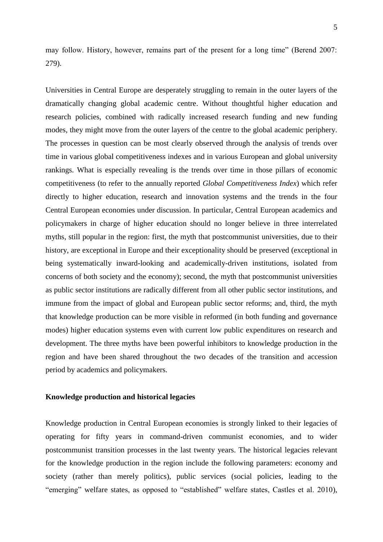may follow. History, however, remains part of the present for a long time" (Berend 2007: 279).

Universities in Central Europe are desperately struggling to remain in the outer layers of the dramatically changing global academic centre. Without thoughtful higher education and research policies, combined with radically increased research funding and new funding modes, they might move from the outer layers of the centre to the global academic periphery. The processes in question can be most clearly observed through the analysis of trends over time in various global competitiveness indexes and in various European and global university rankings. What is especially revealing is the trends over time in those pillars of economic competitiveness (to refer to the annually reported *Global Competitiveness Index*) which refer directly to higher education, research and innovation systems and the trends in the four Central European economies under discussion. In particular, Central European academics and policymakers in charge of higher education should no longer believe in three interrelated myths, still popular in the region: first, the myth that postcommunist universities, due to their history, are exceptional in Europe and their exceptionality should be preserved (exceptional in being systematically inward-looking and academically-driven institutions, isolated from concerns of both society and the economy); second, the myth that postcommunist universities as public sector institutions are radically different from all other public sector institutions, and immune from the impact of global and European public sector reforms; and, third, the myth that knowledge production can be more visible in reformed (in both funding and governance modes) higher education systems even with current low public expenditures on research and development. The three myths have been powerful inhibitors to knowledge production in the region and have been shared throughout the two decades of the transition and accession period by academics and policymakers.

## **Knowledge production and historical legacies**

Knowledge production in Central European economies is strongly linked to their legacies of operating for fifty years in command-driven communist economies, and to wider postcommunist transition processes in the last twenty years. The historical legacies relevant for the knowledge production in the region include the following parameters: economy and society (rather than merely politics), public services (social policies, leading to the "emerging" welfare states, as opposed to "established" welfare states, Castles et al. 2010),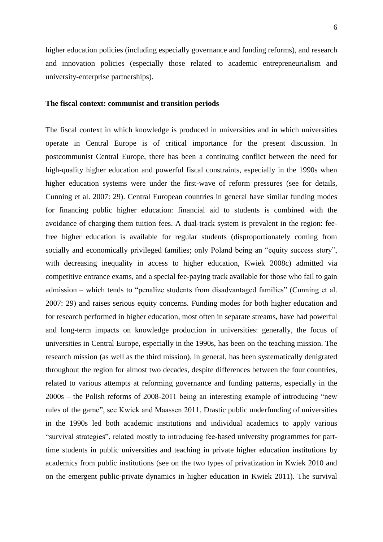higher education policies (including especially governance and funding reforms), and research and innovation policies (especially those related to academic entrepreneurialism and university-enterprise partnerships).

## **The fiscal context: communist and transition periods**

The fiscal context in which knowledge is produced in universities and in which universities operate in Central Europe is of critical importance for the present discussion. In postcommunist Central Europe, there has been a continuing conflict between the need for high-quality higher education and powerful fiscal constraints, especially in the 1990s when higher education systems were under the first-wave of reform pressures (see for details, Cunning et al. 2007: 29). Central European countries in general have similar funding modes for financing public higher education: financial aid to students is combined with the avoidance of charging them tuition fees. A dual-track system is prevalent in the region: feefree higher education is available for regular students (disproportionately coming from socially and economically privileged families; only Poland being an "equity success story", with decreasing inequality in access to higher education, Kwiek 2008c) admitted via competitive entrance exams, and a special fee-paying track available for those who fail to gain admission – which tends to "penalize students from disadvantaged families" (Cunning et al. 2007: 29) and raises serious equity concerns. Funding modes for both higher education and for research performed in higher education, most often in separate streams, have had powerful and long-term impacts on knowledge production in universities: generally, the focus of universities in Central Europe, especially in the 1990s, has been on the teaching mission. The research mission (as well as the third mission), in general, has been systematically denigrated throughout the region for almost two decades, despite differences between the four countries, related to various attempts at reforming governance and funding patterns, especially in the 2000s – the Polish reforms of 2008-2011 being an interesting example of introducing "new rules of the game", see Kwiek and Maassen 2011. Drastic public underfunding of universities in the 1990s led both academic institutions and individual academics to apply various "survival strategies", related mostly to introducing fee-based university programmes for parttime students in public universities and teaching in private higher education institutions by academics from public institutions (see on the two types of privatization in Kwiek 2010 and on the emergent public-private dynamics in higher education in Kwiek 2011). The survival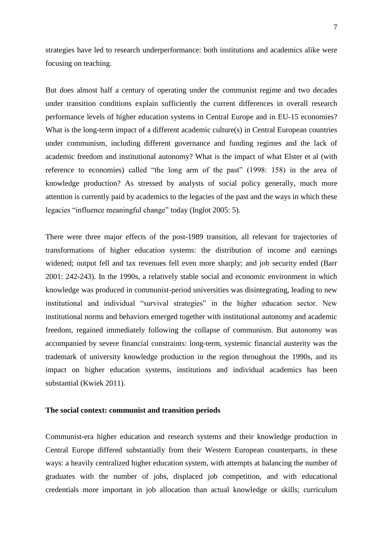strategies have led to research underperformance: both institutions and academics alike were focusing on teaching.

But does almost half a century of operating under the communist regime and two decades under transition conditions explain sufficiently the current differences in overall research performance levels of higher education systems in Central Europe and in EU-15 economies? What is the long-term impact of a different academic culture(s) in Central European countries under communism, including different governance and funding regimes and the lack of academic freedom and institutional autonomy? What is the impact of what Elster et al (with reference to economies) called "the long arm of the past" (1998: 158) in the area of knowledge production? As stressed by analysts of social policy generally, much more attention is currently paid by academics to the legacies of the past and the ways in which these legacies "influence meaningful change" today (Inglot 2005: 5).

There were three major effects of the post-1989 transition, all relevant for trajectories of transformations of higher education systems: the distribution of income and earnings widened; output fell and tax revenues fell even more sharply; and job security ended (Barr 2001: 242-243). In the 1990s, a relatively stable social and economic environment in which knowledge was produced in communist-period universities was disintegrating, leading to new institutional and individual "survival strategies" in the higher education sector. New institutional norms and behaviors emerged together with institutional autonomy and academic freedom, regained immediately following the collapse of communism. But autonomy was accompanied by severe financial constraints: long-term, systemic financial austerity was the trademark of university knowledge production in the region throughout the 1990s, and its impact on higher education systems, institutions and individual academics has been substantial (Kwiek 2011).

## **The social context: communist and transition periods**

Communist-era higher education and research systems and their knowledge production in Central Europe differed substantially from their Western European counterparts, in these ways: a heavily centralized higher education system, with attempts at balancing the number of graduates with the number of jobs, displaced job competition, and with educational credentials more important in job allocation than actual knowledge or skills; curriculum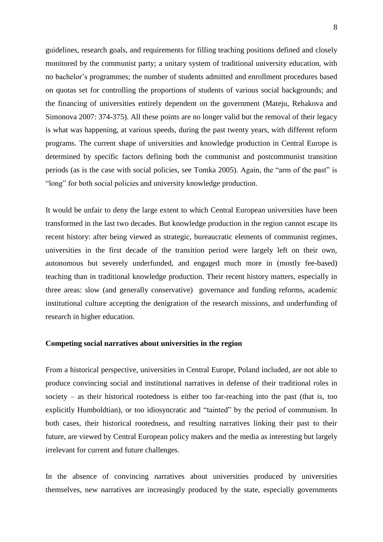guidelines, research goals, and requirements for filling teaching positions defined and closely monitored by the communist party; a unitary system of traditional university education, with no bachelor's programmes; the number of students admitted and enrollment procedures based on quotas set for controlling the proportions of students of various social backgrounds; and the financing of universities entirely dependent on the government (Mateju, Rehakova and Simonova 2007: 374-375). All these points are no longer valid but the removal of their legacy is what was happening, at various speeds, during the past twenty years, with different reform programs. The current shape of universities and knowledge production in Central Europe is determined by specific factors defining both the communist and postcommunist transition periods (as is the case with social policies, see Tomka 2005). Again, the "arm of the past" is "long" for both social policies and university knowledge production.

It would be unfair to deny the large extent to which Central European universities have been transformed in the last two decades. But knowledge production in the region cannot escape its recent history: after being viewed as strategic, bureaucratic elements of communist regimes, universities in the first decade of the transition period were largely left on their own, autonomous but severely underfunded, and engaged much more in (mostly fee-based) teaching than in traditional knowledge production. Their recent history matters, especially in three areas: slow (and generally conservative) governance and funding reforms, academic institutional culture accepting the denigration of the research missions, and underfunding of research in higher education.

## **Competing social narratives about universities in the region**

From a historical perspective, universities in Central Europe, Poland included, are not able to produce convincing social and institutional narratives in defense of their traditional roles in society – as their historical rootedness is either too far-reaching into the past (that is, too explicitly Humboldtian), or too idiosyncratic and "tainted" by the period of communism. In both cases, their historical rootedness, and resulting narratives linking their past to their future, are viewed by Central European policy makers and the media as interesting but largely irrelevant for current and future challenges.

In the absence of convincing narratives about universities produced by universities themselves, new narratives are increasingly produced by the state, especially governments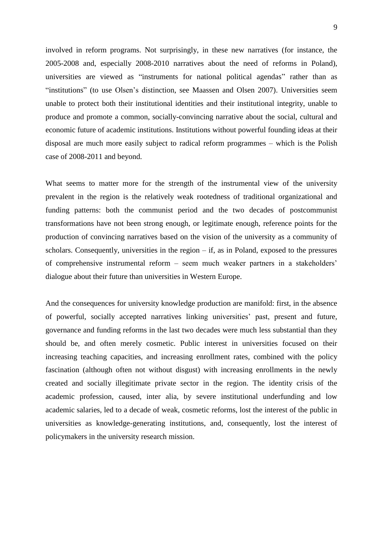involved in reform programs. Not surprisingly, in these new narratives (for instance, the 2005-2008 and, especially 2008-2010 narratives about the need of reforms in Poland), universities are viewed as "instruments for national political agendas" rather than as "institutions" (to use Olsen's distinction, see Maassen and Olsen 2007). Universities seem unable to protect both their institutional identities and their institutional integrity, unable to produce and promote a common, socially-convincing narrative about the social, cultural and economic future of academic institutions. Institutions without powerful founding ideas at their disposal are much more easily subject to radical reform programmes – which is the Polish case of 2008-2011 and beyond.

What seems to matter more for the strength of the instrumental view of the university prevalent in the region is the relatively weak rootedness of traditional organizational and funding patterns: both the communist period and the two decades of postcommunist transformations have not been strong enough, or legitimate enough, reference points for the production of convincing narratives based on the vision of the university as a community of scholars. Consequently, universities in the region  $-$  if, as in Poland, exposed to the pressures of comprehensive instrumental reform – seem much weaker partners in a stakeholders' dialogue about their future than universities in Western Europe.

And the consequences for university knowledge production are manifold: first, in the absence of powerful, socially accepted narratives linking universities' past, present and future, governance and funding reforms in the last two decades were much less substantial than they should be, and often merely cosmetic. Public interest in universities focused on their increasing teaching capacities, and increasing enrollment rates, combined with the policy fascination (although often not without disgust) with increasing enrollments in the newly created and socially illegitimate private sector in the region. The identity crisis of the academic profession, caused, inter alia, by severe institutional underfunding and low academic salaries, led to a decade of weak, cosmetic reforms, lost the interest of the public in universities as knowledge-generating institutions, and, consequently, lost the interest of policymakers in the university research mission.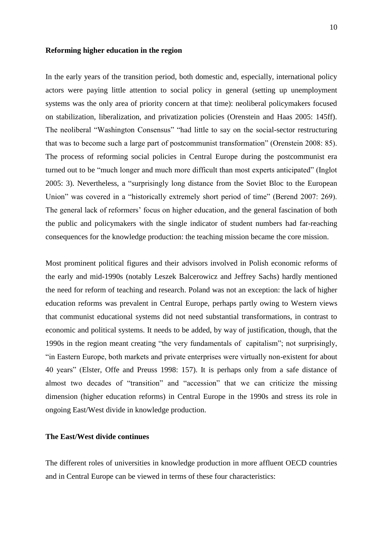## **Reforming higher education in the region**

In the early years of the transition period, both domestic and, especially, international policy actors were paying little attention to social policy in general (setting up unemployment systems was the only area of priority concern at that time): neoliberal policymakers focused on stabilization, liberalization, and privatization policies (Orenstein and Haas 2005: 145ff). The neoliberal "Washington Consensus" "had little to say on the social-sector restructuring that was to become such a large part of postcommunist transformation" (Orenstein 2008: 85). The process of reforming social policies in Central Europe during the postcommunist era turned out to be "much longer and much more difficult than most experts anticipated" (Inglot 2005: 3). Nevertheless, a "surprisingly long distance from the Soviet Bloc to the European Union" was covered in a "historically extremely short period of time" (Berend 2007: 269). The general lack of reformers' focus on higher education, and the general fascination of both the public and policymakers with the single indicator of student numbers had far-reaching consequences for the knowledge production: the teaching mission became the core mission.

Most prominent political figures and their advisors involved in Polish economic reforms of the early and mid-1990s (notably Leszek Balcerowicz and Jeffrey Sachs) hardly mentioned the need for reform of teaching and research. Poland was not an exception: the lack of higher education reforms was prevalent in Central Europe, perhaps partly owing to Western views that communist educational systems did not need substantial transformations, in contrast to economic and political systems. It needs to be added, by way of justification, though, that the 1990s in the region meant creating "the very fundamentals of capitalism"; not surprisingly, "in Eastern Europe, both markets and private enterprises were virtually non-existent for about 40 years" (Elster, Offe and Preuss 1998: 157). It is perhaps only from a safe distance of almost two decades of "transition" and "accession" that we can criticize the missing dimension (higher education reforms) in Central Europe in the 1990s and stress its role in ongoing East/West divide in knowledge production.

## **The East/West divide continues**

The different roles of universities in knowledge production in more affluent OECD countries and in Central Europe can be viewed in terms of these four characteristics: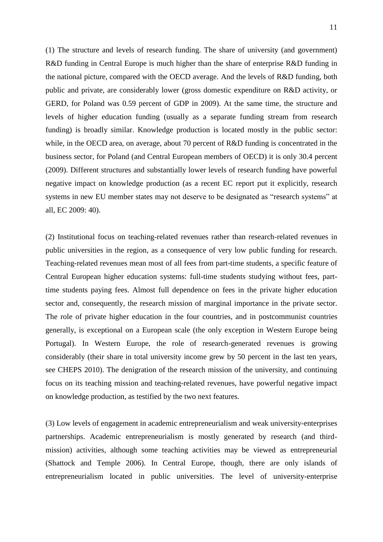(1) The structure and levels of research funding. The share of university (and government) R&D funding in Central Europe is much higher than the share of enterprise R&D funding in the national picture, compared with the OECD average. And the levels of R&D funding, both public and private, are considerably lower (gross domestic expenditure on R&D activity, or GERD, for Poland was 0.59 percent of GDP in 2009). At the same time, the structure and levels of higher education funding (usually as a separate funding stream from research funding) is broadly similar. Knowledge production is located mostly in the public sector: while, in the OECD area, on average, about 70 percent of R&D funding is concentrated in the business sector, for Poland (and Central European members of OECD) it is only 30.4 percent (2009). Different structures and substantially lower levels of research funding have powerful negative impact on knowledge production (as a recent EC report put it explicitly, research systems in new EU member states may not deserve to be designated as "research systems" at all, EC 2009: 40).

(2) Institutional focus on teaching-related revenues rather than research-related revenues in public universities in the region, as a consequence of very low public funding for research. Teaching-related revenues mean most of all fees from part-time students, a specific feature of Central European higher education systems: full-time students studying without fees, parttime students paying fees. Almost full dependence on fees in the private higher education sector and, consequently, the research mission of marginal importance in the private sector. The role of private higher education in the four countries, and in postcommunist countries generally, is exceptional on a European scale (the only exception in Western Europe being Portugal). In Western Europe, the role of research-generated revenues is growing considerably (their share in total university income grew by 50 percent in the last ten years, see CHEPS 2010). The denigration of the research mission of the university, and continuing focus on its teaching mission and teaching-related revenues, have powerful negative impact on knowledge production, as testified by the two next features.

(3) Low levels of engagement in academic entrepreneurialism and weak university-enterprises partnerships. Academic entrepreneurialism is mostly generated by research (and thirdmission) activities, although some teaching activities may be viewed as entrepreneurial (Shattock and Temple 2006). In Central Europe, though, there are only islands of entrepreneurialism located in public universities. The level of university-enterprise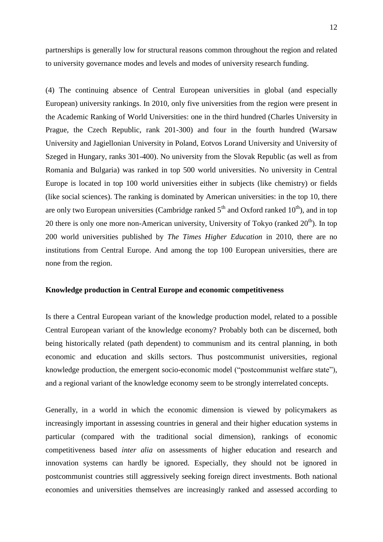partnerships is generally low for structural reasons common throughout the region and related to university governance modes and levels and modes of university research funding.

(4) The continuing absence of Central European universities in global (and especially European) university rankings. In 2010, only five universities from the region were present in the Academic Ranking of World Universities: one in the third hundred (Charles University in Prague, the Czech Republic, rank 201-300) and four in the fourth hundred (Warsaw University and Jagiellonian University in Poland, Eotvos Lorand University and University of Szeged in Hungary, ranks 301-400). No university from the Slovak Republic (as well as from Romania and Bulgaria) was ranked in top 500 world universities. No university in Central Europe is located in top 100 world universities either in subjects (like chemistry) or fields (like social sciences). The ranking is dominated by American universities: in the top 10, there are only two European universities (Cambridge ranked  $5<sup>th</sup>$  and Oxford ranked  $10<sup>th</sup>$ ), and in top 20 there is only one more non-American university, University of Tokyo (ranked  $20<sup>th</sup>$ ). In top 200 world universities published by *The Times Higher Education* in 2010, there are no institutions from Central Europe. And among the top 100 European universities, there are none from the region.

## **Knowledge production in Central Europe and economic competitiveness**

Is there a Central European variant of the knowledge production model, related to a possible Central European variant of the knowledge economy? Probably both can be discerned, both being historically related (path dependent) to communism and its central planning, in both economic and education and skills sectors. Thus postcommunist universities, regional knowledge production, the emergent socio-economic model ("postcommunist welfare state"), and a regional variant of the knowledge economy seem to be strongly interrelated concepts.

Generally, in a world in which the economic dimension is viewed by policymakers as increasingly important in assessing countries in general and their higher education systems in particular (compared with the traditional social dimension), rankings of economic competitiveness based *inter alia* on assessments of higher education and research and innovation systems can hardly be ignored. Especially, they should not be ignored in postcommunist countries still aggressively seeking foreign direct investments. Both national economies and universities themselves are increasingly ranked and assessed according to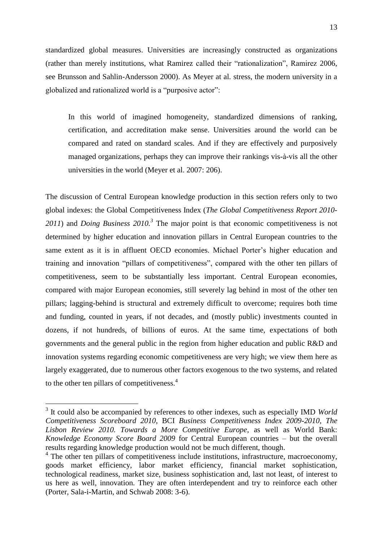standardized global measures. Universities are increasingly constructed as organizations (rather than merely institutions, what Ramirez called their "rationalization", Ramirez 2006, see Brunsson and Sahlin-Andersson 2000). As Meyer at al. stress, the modern university in a globalized and rationalized world is a "purposive actor":

In this world of imagined homogeneity, standardized dimensions of ranking, certification, and accreditation make sense. Universities around the world can be compared and rated on standard scales. And if they are effectively and purposively managed organizations, perhaps they can improve their rankings vis-à-vis all the other universities in the world (Meyer et al. 2007: 206).

The discussion of Central European knowledge production in this section refers only to two global indexes: the Global Competitiveness Index (*The Global Competitiveness Report 2010- 2011*) and *Doing Business 2010. 3* The major point is that economic competitiveness is not determined by higher education and innovation pillars in Central European countries to the same extent as it is in affluent OECD economies. Michael Porter's higher education and training and innovation "pillars of competitiveness", compared with the other ten pillars of competitiveness, seem to be substantially less important. Central European economies, compared with major European economies, still severely lag behind in most of the other ten pillars; lagging-behind is structural and extremely difficult to overcome; requires both time and funding, counted in years, if not decades, and (mostly public) investments counted in dozens, if not hundreds, of billions of euros. At the same time, expectations of both governments and the general public in the region from higher education and public R&D and innovation systems regarding economic competitiveness are very high; we view them here as largely exaggerated, due to numerous other factors exogenous to the two systems, and related to the other ten pillars of competitiveness.<sup>4</sup>

1

<sup>3</sup> It could also be accompanied by references to other indexes, such as especially IMD *World Competitiveness Scoreboard 2010*, BCI *Business Competitiveness Index 2009-2010*, *The Lisbon Review 2010. Towards a More Competitive Europe*, as well as World Bank: *Knowledge Economy Score Board 2009* for Central European countries – but the overall results regarding knowledge production would not be much different, though.

<sup>&</sup>lt;sup>4</sup> The other ten pillars of competitiveness include institutions, infrastructure, macroeconomy, goods market efficiency, labor market efficiency, financial market sophistication, technological readiness, market size, business sophistication and, last not least, of interest to us here as well, innovation. They are often interdependent and try to reinforce each other (Porter, Sala-i-Martin, and Schwab 2008: 3-6).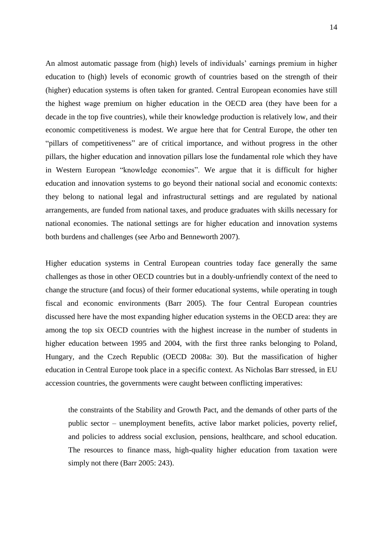An almost automatic passage from (high) levels of individuals' earnings premium in higher education to (high) levels of economic growth of countries based on the strength of their (higher) education systems is often taken for granted. Central European economies have still the highest wage premium on higher education in the OECD area (they have been for a decade in the top five countries), while their knowledge production is relatively low, and their economic competitiveness is modest. We argue here that for Central Europe, the other ten "pillars of competitiveness" are of critical importance, and without progress in the other pillars, the higher education and innovation pillars lose the fundamental role which they have in Western European "knowledge economies". We argue that it is difficult for higher education and innovation systems to go beyond their national social and economic contexts: they belong to national legal and infrastructural settings and are regulated by national arrangements, are funded from national taxes, and produce graduates with skills necessary for national economies. The national settings are for higher education and innovation systems both burdens and challenges (see Arbo and Benneworth 2007).

Higher education systems in Central European countries today face generally the same challenges as those in other OECD countries but in a doubly-unfriendly context of the need to change the structure (and focus) of their former educational systems, while operating in tough fiscal and economic environments (Barr 2005). The four Central European countries discussed here have the most expanding higher education systems in the OECD area: they are among the top six OECD countries with the highest increase in the number of students in higher education between 1995 and 2004, with the first three ranks belonging to Poland, Hungary, and the Czech Republic (OECD 2008a: 30). But the massification of higher education in Central Europe took place in a specific context. As Nicholas Barr stressed, in EU accession countries, the governments were caught between conflicting imperatives:

the constraints of the Stability and Growth Pact, and the demands of other parts of the public sector – unemployment benefits, active labor market policies, poverty relief, and policies to address social exclusion, pensions, healthcare, and school education. The resources to finance mass, high-quality higher education from taxation were simply not there (Barr 2005: 243).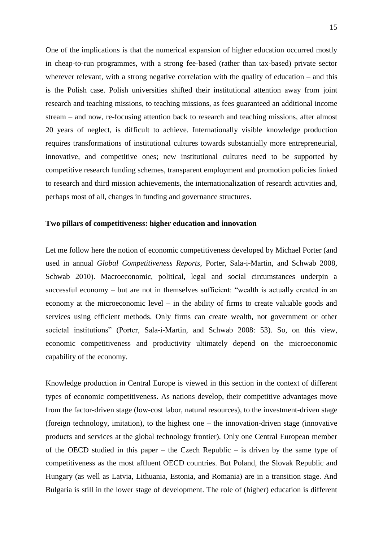One of the implications is that the numerical expansion of higher education occurred mostly in cheap-to-run programmes, with a strong fee-based (rather than tax-based) private sector wherever relevant, with a strong negative correlation with the quality of education – and this is the Polish case. Polish universities shifted their institutional attention away from joint research and teaching missions, to teaching missions, as fees guaranteed an additional income stream – and now, re-focusing attention back to research and teaching missions, after almost 20 years of neglect, is difficult to achieve. Internationally visible knowledge production requires transformations of institutional cultures towards substantially more entrepreneurial, innovative, and competitive ones; new institutional cultures need to be supported by competitive research funding schemes, transparent employment and promotion policies linked to research and third mission achievements, the internationalization of research activities and, perhaps most of all, changes in funding and governance structures.

#### **Two pillars of competitiveness: higher education and innovation**

Let me follow here the notion of economic competitiveness developed by Michael Porter (and used in annual *Global Competitiveness Reports*, Porter, Sala-i-Martin, and Schwab 2008, Schwab 2010). Macroeconomic, political, legal and social circumstances underpin a successful economy – but are not in themselves sufficient: "wealth is actually created in an economy at the microeconomic level – in the ability of firms to create valuable goods and services using efficient methods. Only firms can create wealth, not government or other societal institutions" (Porter, Sala-i-Martin, and Schwab 2008: 53). So, on this view, economic competitiveness and productivity ultimately depend on the microeconomic capability of the economy.

Knowledge production in Central Europe is viewed in this section in the context of different types of economic competitiveness. As nations develop, their competitive advantages move from the factor-driven stage (low-cost labor, natural resources), to the investment-driven stage (foreign technology, imitation), to the highest one – the innovation-driven stage (innovative products and services at the global technology frontier). Only one Central European member of the OECD studied in this paper – the Czech Republic – is driven by the same type of competitiveness as the most affluent OECD countries. But Poland, the Slovak Republic and Hungary (as well as Latvia, Lithuania, Estonia, and Romania) are in a transition stage. And Bulgaria is still in the lower stage of development. The role of (higher) education is different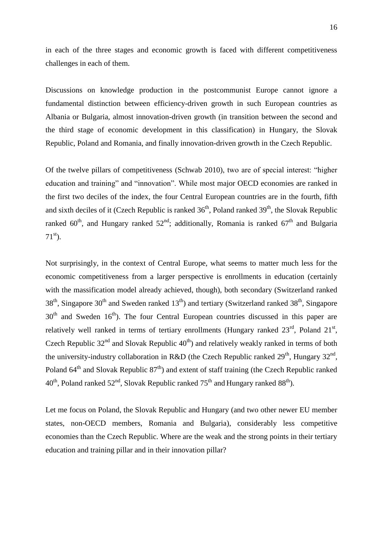in each of the three stages and economic growth is faced with different competitiveness challenges in each of them.

Discussions on knowledge production in the postcommunist Europe cannot ignore a fundamental distinction between efficiency-driven growth in such European countries as Albania or Bulgaria, almost innovation-driven growth (in transition between the second and the third stage of economic development in this classification) in Hungary, the Slovak Republic, Poland and Romania, and finally innovation-driven growth in the Czech Republic.

Of the twelve pillars of competitiveness (Schwab 2010), two are of special interest: "higher education and training" and "innovation". While most major OECD economies are ranked in the first two deciles of the index, the four Central European countries are in the fourth, fifth and sixth deciles of it (Czech Republic is ranked  $36<sup>th</sup>$ , Poland ranked  $39<sup>th</sup>$ , the Slovak Republic ranked  $60<sup>th</sup>$ , and Hungary ranked  $52<sup>nd</sup>$ ; additionally, Romania is ranked  $67<sup>th</sup>$  and Bulgaria  $71^{\text{st}}$ ).

Not surprisingly, in the context of Central Europe, what seems to matter much less for the economic competitiveness from a larger perspective is enrollments in education (certainly with the massification model already achieved, though), both secondary (Switzerland ranked  $38<sup>th</sup>$ , Singapore  $30<sup>th</sup>$  and Sweden ranked  $13<sup>th</sup>$ ) and tertiary (Switzerland ranked  $38<sup>th</sup>$ , Singapore  $30<sup>th</sup>$  and Sweden  $16<sup>th</sup>$ ). The four Central European countries discussed in this paper are relatively well ranked in terms of tertiary enrollments (Hungary ranked  $23^{\text{rd}}$ , Poland  $21^{\text{st}}$ , Czech Republic  $32<sup>nd</sup>$  and Slovak Republic  $40<sup>th</sup>$ ) and relatively weakly ranked in terms of both the university-industry collaboration in R&D (the Czech Republic ranked 29<sup>th</sup>, Hungary 32<sup>nd</sup>, Poland 64<sup>th</sup> and Slovak Republic 87<sup>th</sup>) and extent of staff training (the Czech Republic ranked 40<sup>th</sup>, Poland ranked  $52<sup>nd</sup>$ , Slovak Republic ranked  $75<sup>th</sup>$  and Hungary ranked  $88<sup>th</sup>$ ).

Let me focus on Poland, the Slovak Republic and Hungary (and two other newer EU member states, non-OECD members, Romania and Bulgaria), considerably less competitive economies than the Czech Republic. Where are the weak and the strong points in their tertiary education and training pillar and in their innovation pillar?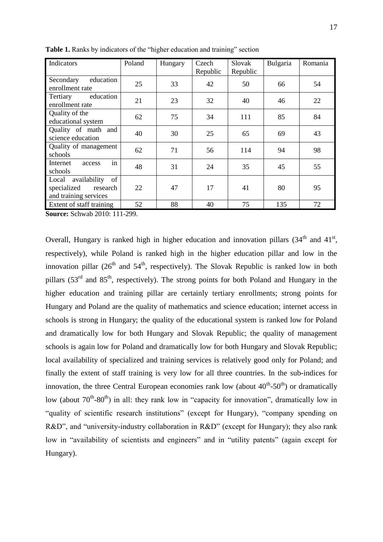| Indicators                                                                      | Poland | Hungary | Czech<br>Republic | Slovak<br>Republic | Bulgaria | Romania |
|---------------------------------------------------------------------------------|--------|---------|-------------------|--------------------|----------|---------|
| education<br>Secondary<br>enrollment rate                                       | 25     | 33      | 42                | 50                 | 66       | 54      |
| education<br>Tertiary<br>enrollment rate                                        | 21     | 23      | 32                | 40                 | 46       | 22      |
| Quality of the<br>educational system                                            | 62     | 75      | 34                | 111                | 85       | 84      |
| Quality of math and<br>science education                                        | 40     | 30      | 25                | 65                 | 69       | 43      |
| Quality of management<br>schools                                                | 62     | 71      | 56                | 114                | 94       | 98      |
| in<br>Internet<br>access<br>schools                                             | 48     | 31      | 24                | 35                 | 45       | 55      |
| of<br>availability<br>Local<br>specialized<br>research<br>and training services | 22     | 47      | 17                | 41                 | 80       | 95      |
| Extent of staff training                                                        | 52     | 88      | 40                | 75                 | 135      | 72      |

Table 1. Ranks by indicators of the "higher education and training" section

**Source:** Schwab 2010: 111-299.

Overall, Hungary is ranked high in higher education and innovation pillars  $(34<sup>th</sup>$  and  $41<sup>st</sup>$ , respectively), while Poland is ranked high in the higher education pillar and low in the innovation pillar ( $26<sup>th</sup>$  and  $54<sup>th</sup>$ , respectively). The Slovak Republic is ranked low in both pillars ( $53<sup>rd</sup>$  and  $85<sup>th</sup>$ , respectively). The strong points for both Poland and Hungary in the higher education and training pillar are certainly tertiary enrollments; strong points for Hungary and Poland are the quality of mathematics and science education; internet access in schools is strong in Hungary; the quality of the educational system is ranked low for Poland and dramatically low for both Hungary and Slovak Republic; the quality of management schools is again low for Poland and dramatically low for both Hungary and Slovak Republic; local availability of specialized and training services is relatively good only for Poland; and finally the extent of staff training is very low for all three countries. In the sub-indices for innovation, the three Central European economies rank low (about  $40^{th}$ -50<sup>th</sup>) or dramatically low (about  $70<sup>th</sup> - 80<sup>th</sup>$ ) in all: they rank low in "capacity for innovation", dramatically low in "quality of scientific research institutions" (except for Hungary), "company spending on R&D", and "university-industry collaboration in R&D" (except for Hungary); they also rank low in "availability of scientists and engineers" and in "utility patents" (again except for Hungary).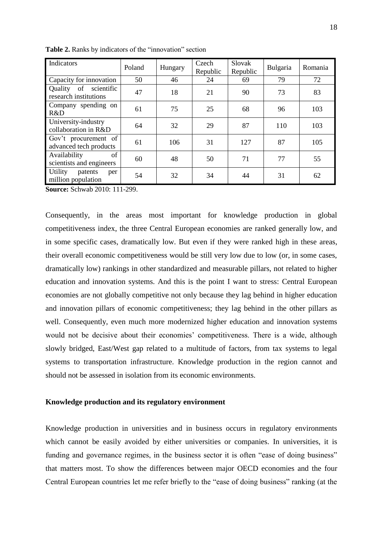| Indicators                                      | Poland | Hungary | Czech<br>Republic | Slovak<br>Republic | Bulgaria | Romania |
|-------------------------------------------------|--------|---------|-------------------|--------------------|----------|---------|
| Capacity for innovation                         | 50     | 46      | 24                | 69                 | 79       | 72      |
| Quality of scientific<br>research institutions  | 47     | 18      | 21                | 90                 | 73       | 83      |
| Company spending on<br>R&D                      | 61     | 75      | 25                | 68                 | 96       | 103     |
| University-industry<br>collaboration in R&D     | 64     | 32      | 29                | 87                 | 110      | 103     |
| Gov't procurement of<br>advanced tech products  | 61     | 106     | 31                | 127                | 87       | 105     |
| Availability<br>of<br>scientists and engineers  | 60     | 48      | 50                | 71                 | 77       | 55      |
| Utility<br>patents<br>per<br>million population | 54     | 32      | 34                | 44                 | 31       | 62      |

**Table 2.** Ranks by indicators of the "innovation" section

**Source:** Schwab 2010: 111-299.

Consequently, in the areas most important for knowledge production in global competitiveness index, the three Central European economies are ranked generally low, and in some specific cases, dramatically low. But even if they were ranked high in these areas, their overall economic competitiveness would be still very low due to low (or, in some cases, dramatically low) rankings in other standardized and measurable pillars, not related to higher education and innovation systems. And this is the point I want to stress: Central European economies are not globally competitive not only because they lag behind in higher education and innovation pillars of economic competitiveness; they lag behind in the other pillars as well. Consequently, even much more modernized higher education and innovation systems would not be decisive about their economies' competitiveness. There is a wide, although slowly bridged, East/West gap related to a multitude of factors, from tax systems to legal systems to transportation infrastructure. Knowledge production in the region cannot and should not be assessed in isolation from its economic environments.

## **Knowledge production and its regulatory environment**

Knowledge production in universities and in business occurs in regulatory environments which cannot be easily avoided by either universities or companies. In universities, it is funding and governance regimes, in the business sector it is often "ease of doing business" that matters most. To show the differences between major OECD economies and the four Central European countries let me refer briefly to the "ease of doing business" ranking (at the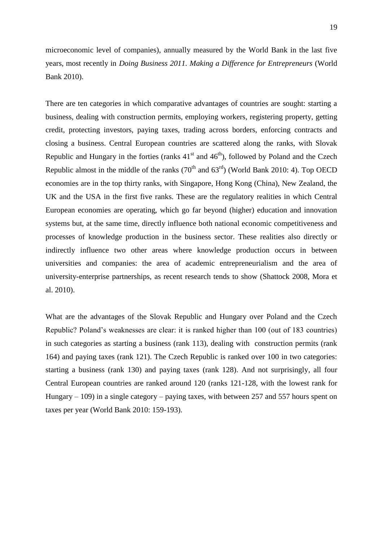microeconomic level of companies), annually measured by the World Bank in the last five years, most recently in *Doing Business 2011. Making a Difference for Entrepreneurs* (World Bank 2010).

There are ten categories in which comparative advantages of countries are sought: starting a business, dealing with construction permits, employing workers, registering property, getting credit, protecting investors, paying taxes, trading across borders, enforcing contracts and closing a business. Central European countries are scattered along the ranks, with Slovak Republic and Hungary in the forties (ranks  $41<sup>st</sup>$  and  $46<sup>th</sup>$ ), followed by Poland and the Czech Republic almost in the middle of the ranks  $(70<sup>th</sup>$  and  $63<sup>rd</sup>)$  (World Bank 2010: 4). Top OECD economies are in the top thirty ranks, with Singapore, Hong Kong (China), New Zealand, the UK and the USA in the first five ranks. These are the regulatory realities in which Central European economies are operating, which go far beyond (higher) education and innovation systems but, at the same time, directly influence both national economic competitiveness and processes of knowledge production in the business sector. These realities also directly or indirectly influence two other areas where knowledge production occurs in between universities and companies: the area of academic entrepreneurialism and the area of university-enterprise partnerships, as recent research tends to show (Shattock 2008, Mora et al. 2010).

What are the advantages of the Slovak Republic and Hungary over Poland and the Czech Republic? Poland's weaknesses are clear: it is ranked higher than 100 (out of 183 countries) in such categories as starting a business (rank 113), dealing with construction permits (rank 164) and paying taxes (rank 121). The Czech Republic is ranked over 100 in two categories: starting a business (rank 130) and paying taxes (rank 128). And not surprisingly, all four Central European countries are ranked around 120 (ranks 121-128, with the lowest rank for Hungary – 109) in a single category – paying taxes, with between 257 and 557 hours spent on taxes per year (World Bank 2010: 159-193).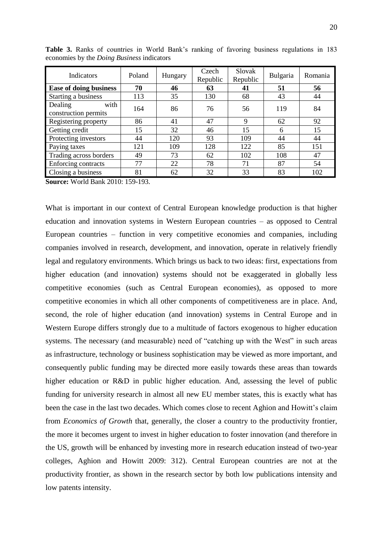| Indicators                              | Poland | Hungary | Czech<br>Republic | Slovak<br>Republic | Bulgaria | Romania |
|-----------------------------------------|--------|---------|-------------------|--------------------|----------|---------|
| <b>Ease of doing business</b>           | 70     | 46      | 63                | 41                 | 51       | 56      |
| Starting a business                     | 113    | 35      | 130               | 68                 | 43       | 44      |
| Dealing<br>with<br>construction permits | 164    | 86      | 76                | 56                 | 119      | 84      |
| Registering property                    | 86     | 41      | 47                | 9                  | 62       | 92      |
| Getting credit                          | 15     | 32      | 46                | 15                 | 6        | 15      |
| Protecting investors                    | 44     | 120     | 93                | 109                | 44       | 44      |
| Paying taxes                            | 121    | 109     | 128               | 122                | 85       | 151     |
| Trading across borders                  | 49     | 73      | 62                | 102                | 108      | 47      |
| Enforcing contracts                     | 77     | 22      | 78                | 71                 | 87       | 54      |
| Closing a business                      | 81     | 62      | 32                | 33                 | 83       | 102     |

Table 3. Ranks of countries in World Bank's ranking of favoring business regulations in 183 economies by the *Doing Business* indicators

**Source:** World Bank 2010: 159-193.

What is important in our context of Central European knowledge production is that higher education and innovation systems in Western European countries – as opposed to Central European countries – function in very competitive economies and companies, including companies involved in research, development, and innovation, operate in relatively friendly legal and regulatory environments. Which brings us back to two ideas: first, expectations from higher education (and innovation) systems should not be exaggerated in globally less competitive economies (such as Central European economies), as opposed to more competitive economies in which all other components of competitiveness are in place. And, second, the role of higher education (and innovation) systems in Central Europe and in Western Europe differs strongly due to a multitude of factors exogenous to higher education systems. The necessary (and measurable) need of "catching up with the West" in such areas as infrastructure, technology or business sophistication may be viewed as more important, and consequently public funding may be directed more easily towards these areas than towards higher education or R&D in public higher education. And, assessing the level of public funding for university research in almost all new EU member states, this is exactly what has been the case in the last two decades. Which comes close to recent Aghion and Howitt's claim from *Economics of Growth* that, generally, the closer a country to the productivity frontier, the more it becomes urgent to invest in higher education to foster innovation (and therefore in the US, growth will be enhanced by investing more in research education instead of two-year colleges, Aghion and Howitt 2009: 312). Central European countries are not at the productivity frontier, as shown in the research sector by both low publications intensity and low patents intensity.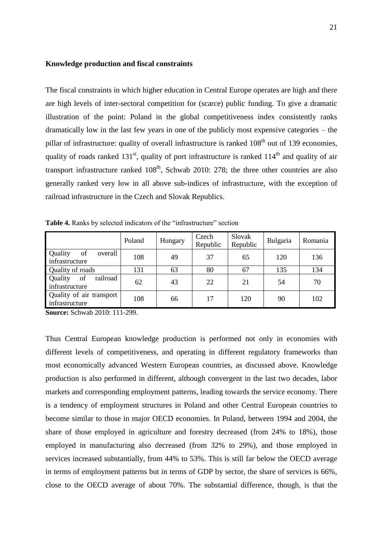## **Knowledge production and fiscal constraints**

The fiscal constraints in which higher education in Central Europe operates are high and there are high levels of inter-sectoral competition for (scarce) public funding. To give a dramatic illustration of the point: Poland in the global competitiveness index consistently ranks dramatically low in the last few years in one of the publicly most expensive categories – the pillar of infrastructure: quality of overall infrastructure is ranked  $108<sup>th</sup>$  out of 139 economies. quality of roads ranked  $131<sup>st</sup>$ , quality of port infrastructure is ranked  $114<sup>th</sup>$  and quality of air transport infrastructure ranked  $108<sup>th</sup>$ , Schwab 2010: 278; the three other countries are also generally ranked very low in all above sub-indices of infrastructure, with the exception of railroad infrastructure in the Czech and Slovak Republics.

|                                             | Poland | Hungary | Czech<br>Republic | Slovak<br>Republic | Bulgaria | Romania |
|---------------------------------------------|--------|---------|-------------------|--------------------|----------|---------|
| Quality<br>overall<br>of<br>infrastructure  | 108    | 49      | 37                | 65                 | 120      | 136     |
| Quality of roads                            | 131    | 63      | 80                | 67                 | 135      | 134     |
| Quality<br>railroad<br>of<br>infrastructure | 62     | 43      | 22                | 21                 | 54       | 70      |
| Quality of air transport<br>infrastructure  | 108    | 66      | 17                | 120                | 90       | 102     |

**Table 4.** Ranks by selected indicators of the "infrastructure" section

**Source:** Schwab 2010: 111-299.

Thus Central European knowledge production is performed not only in economies with different levels of competitiveness, and operating in different regulatory frameworks than most economically advanced Western European countries, as discussed above. Knowledge production is also performed in different, although convergent in the last two decades, labor markets and corresponding employment patterns, leading towards the service economy. There is a tendency of employment structures in Poland and other Central European countries to become similar to those in major OECD economies. In Poland, between 1994 and 2004, the share of those employed in agriculture and forestry decreased (from 24% to 18%), those employed in manufacturing also decreased (from 32% to 29%), and those employed in services increased substantially, from 44% to 53%. This is still far below the OECD average in terms of employment patterns but in terms of GDP by sector, the share of services is 66%, close to the OECD average of about 70%. The substantial difference, though, is that the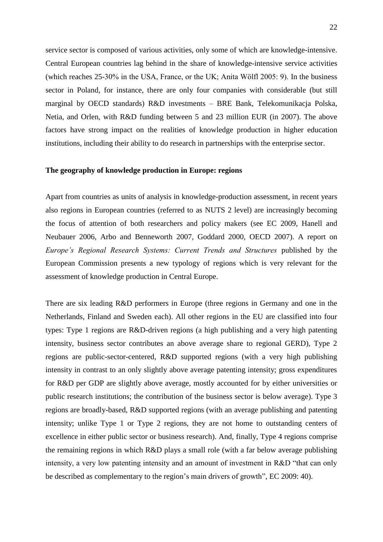service sector is composed of various activities, only some of which are knowledge-intensive. Central European countries lag behind in the share of knowledge-intensive service activities (which reaches 25-30% in the USA, France, or the UK; Anita Wölfl 2005: 9). In the business sector in Poland, for instance, there are only four companies with considerable (but still marginal by OECD standards) R&D investments – BRE Bank, Telekomunikacja Polska, Netia, and Orlen, with R&D funding between 5 and 23 million EUR (in 2007). The above factors have strong impact on the realities of knowledge production in higher education institutions, including their ability to do research in partnerships with the enterprise sector.

## **The geography of knowledge production in Europe: regions**

Apart from countries as units of analysis in knowledge-production assessment, in recent years also regions in European countries (referred to as NUTS 2 level) are increasingly becoming the focus of attention of both researchers and policy makers (see EC 2009, Hanell and Neubauer 2006, Arbo and Benneworth 2007, Goddard 2000, OECD 2007). A report on *Europe's Regional Research Systems: Current Trends and Structures* published by the European Commission presents a new typology of regions which is very relevant for the assessment of knowledge production in Central Europe.

There are six leading R&D performers in Europe (three regions in Germany and one in the Netherlands, Finland and Sweden each). All other regions in the EU are classified into four types: Type 1 regions are R&D-driven regions (a high publishing and a very high patenting intensity, business sector contributes an above average share to regional GERD), Type 2 regions are public-sector-centered, R&D supported regions (with a very high publishing intensity in contrast to an only slightly above average patenting intensity; gross expenditures for R&D per GDP are slightly above average, mostly accounted for by either universities or public research institutions; the contribution of the business sector is below average). Type 3 regions are broadly-based, R&D supported regions (with an average publishing and patenting intensity; unlike Type 1 or Type 2 regions, they are not home to outstanding centers of excellence in either public sector or business research). And, finally, Type 4 regions comprise the remaining regions in which R&D plays a small role (with a far below average publishing intensity, a very low patenting intensity and an amount of investment in R&D "that can only be described as complementary to the region's main drivers of growth", EC 2009: 40).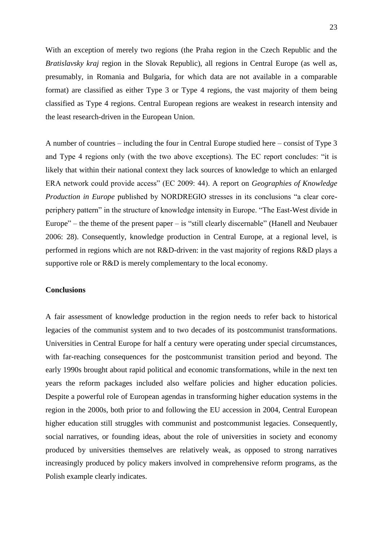With an exception of merely two regions (the Praha region in the Czech Republic and the *Bratislavsky kraj* region in the Slovak Republic), all regions in Central Europe (as well as, presumably, in Romania and Bulgaria, for which data are not available in a comparable format) are classified as either Type 3 or Type 4 regions, the vast majority of them being classified as Type 4 regions. Central European regions are weakest in research intensity and the least research-driven in the European Union.

A number of countries – including the four in Central Europe studied here – consist of Type 3 and Type 4 regions only (with the two above exceptions). The EC report concludes: "it is likely that within their national context they lack sources of knowledge to which an enlarged ERA network could provide access" (EC 2009: 44). A report on *Geographies of Knowledge Production in Europe* published by NORDREGIO stresses in its conclusions "a clear coreperiphery pattern" in the structure of knowledge intensity in Europe. "The East-West divide in Europe" – the theme of the present paper – is "still clearly discernable" (Hanell and Neubauer 2006: 28). Consequently, knowledge production in Central Europe, at a regional level, is performed in regions which are not R&D-driven: in the vast majority of regions R&D plays a supportive role or R&D is merely complementary to the local economy.

## **Conclusions**

A fair assessment of knowledge production in the region needs to refer back to historical legacies of the communist system and to two decades of its postcommunist transformations. Universities in Central Europe for half a century were operating under special circumstances, with far-reaching consequences for the postcommunist transition period and beyond. The early 1990s brought about rapid political and economic transformations, while in the next ten years the reform packages included also welfare policies and higher education policies. Despite a powerful role of European agendas in transforming higher education systems in the region in the 2000s, both prior to and following the EU accession in 2004, Central European higher education still struggles with communist and postcommunist legacies. Consequently, social narratives, or founding ideas, about the role of universities in society and economy produced by universities themselves are relatively weak, as opposed to strong narratives increasingly produced by policy makers involved in comprehensive reform programs, as the Polish example clearly indicates.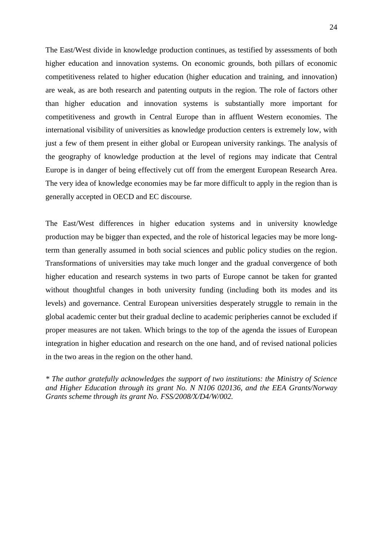The East/West divide in knowledge production continues, as testified by assessments of both higher education and innovation systems. On economic grounds, both pillars of economic competitiveness related to higher education (higher education and training, and innovation) are weak, as are both research and patenting outputs in the region. The role of factors other than higher education and innovation systems is substantially more important for competitiveness and growth in Central Europe than in affluent Western economies. The international visibility of universities as knowledge production centers is extremely low, with just a few of them present in either global or European university rankings. The analysis of the geography of knowledge production at the level of regions may indicate that Central Europe is in danger of being effectively cut off from the emergent European Research Area. The very idea of knowledge economies may be far more difficult to apply in the region than is generally accepted in OECD and EC discourse.

The East/West differences in higher education systems and in university knowledge production may be bigger than expected, and the role of historical legacies may be more longterm than generally assumed in both social sciences and public policy studies on the region. Transformations of universities may take much longer and the gradual convergence of both higher education and research systems in two parts of Europe cannot be taken for granted without thoughtful changes in both university funding (including both its modes and its levels) and governance. Central European universities desperately struggle to remain in the global academic center but their gradual decline to academic peripheries cannot be excluded if proper measures are not taken. Which brings to the top of the agenda the issues of European integration in higher education and research on the one hand, and of revised national policies in the two areas in the region on the other hand.

*\* The author gratefully acknowledges the support of two institutions: the Ministry of Science and Higher Education through its grant No. N N106 020136, and the EEA Grants/Norway Grants scheme through its grant No. FSS/2008/X/D4/W/002.*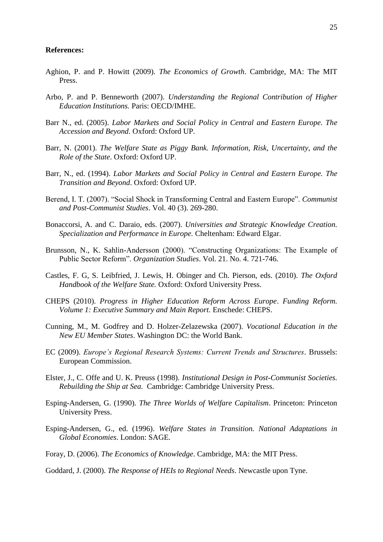#### **References:**

- Aghion, P. and P. Howitt (2009). *The Economics of Growth*. Cambridge, MA: The MIT Press.
- Arbo, P. and P. Benneworth (2007). *Understanding the Regional Contribution of Higher Education Institutions.* Paris: OECD/IMHE.
- Barr N., ed. (2005). *Labor Markets and Social Policy in Central and Eastern Europe. The Accession and Beyond*. Oxford: Oxford UP.
- Barr, N. (2001). *The Welfare State as Piggy Bank. Information, Risk, Uncertainty, and the Role of the State*. Oxford: Oxford UP.
- Barr, N., ed. (1994). *Labor Markets and Social Policy in Central and Eastern Europe. The Transition and Beyond*. Oxford: Oxford UP.
- Berend, I. T. (2007). "Social Shock in Transforming Central and Eastern Europe". *Communist and Post-Communist Studies*. Vol. 40 (3). 269-280.
- Bonaccorsi, A. and C. Daraio, eds. (2007). *Universities and Strategic Knowledge Creation. Specialization and Performance in Europe.* Cheltenham: Edward Elgar.
- Brunsson, N., K. Sahlin-Andersson (2000). "Constructing Organizations: The Example of Public Sector Reform". *Organization Studies*. Vol. 21. No. 4. 721-746.
- Castles, F. G, S. Leibfried, J. Lewis, H. Obinger and Ch. Pierson, eds. (2010). *The Oxford Handbook of the Welfare State.* Oxford: Oxford University Press.
- CHEPS (2010). *Progress in Higher Education Reform Across Europe*. *Funding Reform. Volume 1: Executive Summary and Main Report.* Enschede: CHEPS.
- Cunning, M., M. Godfrey and D. Holzer-Zelazewska (2007). *Vocational Education in the New EU Member States*. Washington DC: the World Bank.
- EC (2009). *Europe's Regional Research Systems: Current Trends and Structures*. Brussels: European Commission.
- Elster, J., C. Offe and U. K. Preuss (1998). *Institutional Design in Post-Communist Societies. Rebuilding the Ship at Sea.* Cambridge: Cambridge University Press.
- Esping-Andersen, G. (1990). *The Three Worlds of Welfare Capitalism*. Princeton: Princeton University Press.
- Esping-Andersen, G., ed. (1996). *Welfare States in Transition. National Adaptations in Global Economies*. London: SAGE.
- Foray, D. (2006). *The Economics of Knowledge*. Cambridge, MA: the MIT Press.

Goddard, J. (2000). *The Response of HEIs to Regional Needs*. Newcastle upon Tyne.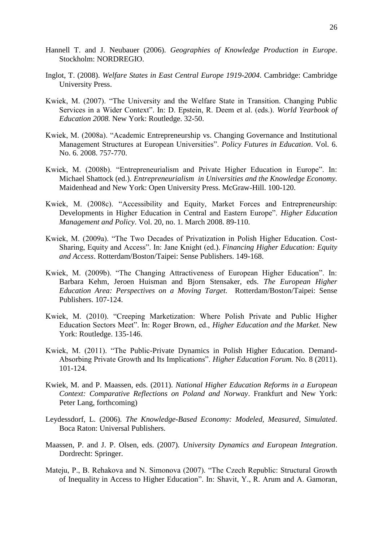- Hannell T. and J. Neubauer (2006). *Geographies of Knowledge Production in Europe*. Stockholm: NORDREGIO.
- Inglot, T. (2008). *Welfare States in East Central Europe 1919-2004*. Cambridge: Cambridge University Press.
- Kwiek, M. (2007). "The University and the Welfare State in Transition. Changing Public Services in a Wider Context". In: D. Epstein, R. Deem et al. (eds.). *World Yearbook of Education 2008.* New York: Routledge. 32-50.
- Kwiek, M. (2008a). "Academic Entrepreneurship vs. Changing Governance and Institutional Management Structures at European Universities". *Policy Futures in Education*. Vol. 6. No. 6. 2008. 757-770.
- Kwiek, M. (2008b). "Entrepreneurialism and Private Higher Education in Europe". In: Michael Shattock (ed.). *Entrepreneurialism in Universities and the Knowledge Economy.* Maidenhead and New York: Open University Press. McGraw-Hill. 100-120.
- Kwiek, M. (2008c). "Accessibility and Equity, Market Forces and Entrepreneurship: Developments in Higher Education in Central and Eastern Europe". *Higher Education Management and Policy*. Vol. 20, no. 1. March 2008. 89-110.
- Kwiek, M. (2009a). "The Two Decades of Privatization in Polish Higher Education. Cost-Sharing, Equity and Access". In: Jane Knight (ed.). *Financing Higher Education: Equity and Access*. Rotterdam/Boston/Taipei: Sense Publishers. 149-168.
- Kwiek, M. (2009b). "The Changing Attractiveness of European Higher Education". In: Barbara Kehm, Jeroen Huisman and Bjorn Stensaker, eds. *The European Higher Education Area: Perspectives on a Moving Target.* Rotterdam/Boston/Taipei: Sense Publishers. 107-124.
- Kwiek, M. (2010). "Creeping Marketization: Where Polish Private and Public Higher Education Sectors Meet". In: Roger Brown, ed., *Higher Education and the Market.* New York: Routledge. 135-146.
- Kwiek, M. (2011). "The Public-Private Dynamics in Polish Higher Education. Demand-Absorbing Private Growth and Its Implications". *Higher Education Forum.* No. 8 (2011). 101-124.
- Kwiek, M. and P. Maassen, eds. (2011). *National Higher Education Reforms in a European Context: Comparative Reflections on Poland and Norway*. Frankfurt and New York: Peter Lang, forthcoming)
- Leydessdorf, L. (2006). *The Knowledge-Based Economy: Modeled, Measured, Simulated*. Boca Raton: Universal Publishers.
- Maassen, P. and J. P. Olsen, eds. (2007). *University Dynamics and European Integration*. Dordrecht: Springer.
- Mateju, P., B. Rehakova and N. Simonova (2007). "The Czech Republic: Structural Growth of Inequality in Access to Higher Education". In: Shavit, Y., R. Arum and A. Gamoran,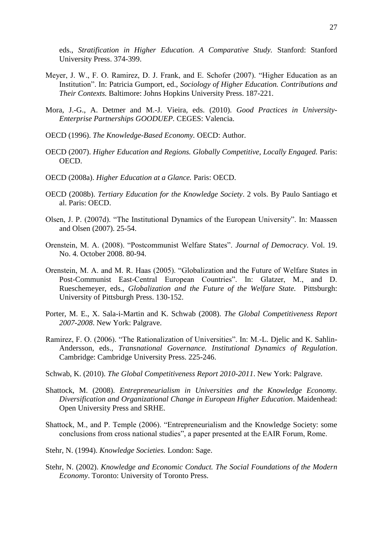eds., *Stratification in Higher Education. A Comparative Study.* Stanford: Stanford University Press. 374-399.

- Meyer, J. W., F. O. Ramirez, D. J. Frank, and E. Schofer (2007). "Higher Education as an Institution". In: Patricia Gumport, ed., *Sociology of Higher Education. Contributions and Their Contexts.* Baltimore: Johns Hopkins University Press. 187-221.
- Mora, J.-G., A. Detmer and M.-J. Vieira, eds. (2010). *Good Practices in University-Enterprise Partnerships GOODUEP.* CEGES: Valencia.
- OECD (1996). *The Knowledge-Based Economy.* OECD: Author.
- OECD (2007). *Higher Education and Regions. Globally Competitive, Locally Engaged.* Paris: OECD.
- OECD (2008a). *Higher Education at a Glance.* Paris: OECD.
- OECD (2008b). *Tertiary Education for the Knowledge Society*. 2 vols. By Paulo Santiago et al. Paris: OECD.
- Olsen, J. P. (2007d). "The Institutional Dynamics of the European University". In: Maassen and Olsen (2007). 25-54.
- Orenstein, M. A. (2008). "Postcommunist Welfare States". *Journal of Democracy*. Vol. 19. No. 4. October 2008. 80-94.
- Orenstein, M. A. and M. R. Haas (2005). "Globalization and the Future of Welfare States in Post-Communist East-Central European Countries". In: Glatzer, M., and D. Rueschemeyer, eds., *Globalization and the Future of the Welfare State.* Pittsburgh: University of Pittsburgh Press. 130-152.
- Porter, M. E., X. Sala-i-Martin and K. Schwab (2008). *The Global Competitiveness Report 2007-2008*. New York: Palgrave.
- Ramirez, F. O. (2006). "The Rationalization of Universities". In: M.-L. Djelic and K. Sahlin-Andersson, eds., *Transnational Governance. Institutional Dynamics of Regulation*. Cambridge: Cambridge University Press. 225-246.
- Schwab, K. (2010). *The Global Competitiveness Report 2010-2011*. New York: Palgrave.
- Shattock, M. (2008). *Entrepreneurialism in Universities and the Knowledge Economy. Diversification and Organizational Change in European Higher Education*. Maidenhead: Open University Press and SRHE.
- Shattock, M., and P. Temple (2006). "Entrepreneurialism and the Knowledge Society: some conclusions from cross national studies", a paper presented at the EAIR Forum, Rome.
- Stehr, N. (1994). *Knowledge Societies.* London: Sage.
- Stehr, N. (2002). *Knowledge and Economic Conduct. The Social Foundations of the Modern Economy*. Toronto: University of Toronto Press.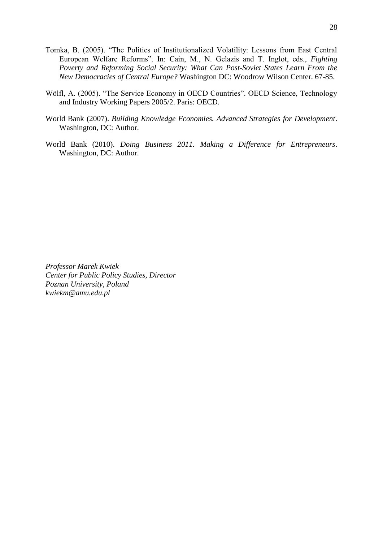- Tomka, B. (2005). "The Politics of Institutionalized Volatility: Lessons from East Central European Welfare Reforms". In: Cain, M., N. Gelazis and T. Inglot, eds., *Fighting Poverty and Reforming Social Security: What Can Post-Soviet States Learn From the New Democracies of Central Europe?* Washington DC: Woodrow Wilson Center. 67-85.
- Wölfl, A. (2005). "The Service Economy in OECD Countries". OECD Science, Technology and Industry Working Papers 2005/2. Paris: OECD.
- World Bank (2007). *Building Knowledge Economies. Advanced Strategies for Development*. Washington, DC: Author.
- World Bank (2010). *Doing Business 2011. Making a Difference for Entrepreneurs*. Washington, DC: Author.

*Professor Marek Kwiek Center for Public Policy Studies, Director Poznan University, Poland kwiekm@amu.edu.pl*